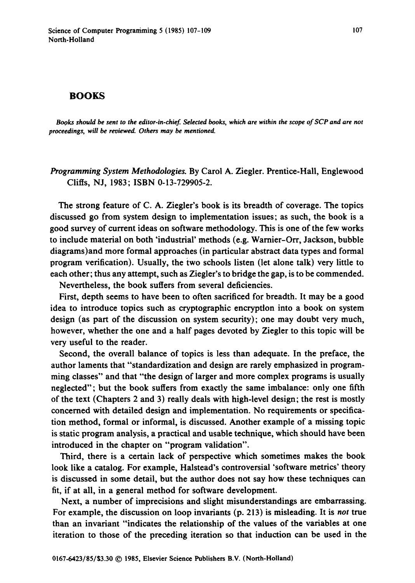## **BOOKS**

*Books should be sent to the editor-in-chief. Selected books, which are within the scope of SCP and are not proceedings, will be reviewed. Others may be mentioned.* 

*Programming System Methodologies.* By Carol A. Ziegler. Prentice-Hall, Englewood Cliffs, NJ, 1983; ISBN 0-13-729905-2.

The strong feature of C. A. Ziegler's book is its breadth of coverage. The topics discussed go from system design to implementation issues; as such, the book is a good survey of current ideas on software methodology. This is one of the few works to include material on both 'industrial' methods (e.g. Warnier-Orr, Jackson, bubble diagrams)and more formal approaches (in particular abstract data types and formal program verification). Usually, the two schools listen (let alone talk) very little to each other; thus any attempt, such as Ziegler's to bridge the gap, is to be commended.

Nevertheless, the book suffers from several deficiencies.

First, depth seems to have been to often sacrificed for breadth. It may be a good idea to introduce topics such as cryptographic encryptlon into a book on system design (as part of the discussion on system security); one may doubt very much, however, whether the one and a half pages devoted by Ziegler to this topic will be very useful to the reader.

Second, the overall balance of topics is less than adequate. In the preface, the author laments that "'standardization and design are rarely emphasized in programming classes" and that "the design of larger and more complex programs is usually neglected"; but the book suffers from exactly the same imbalance: only one fifth of the text (Chapters 2 and 3) really deals with high-level design; the rest is mostly concerned with detailed design and implementation. No requirements or specification method, formal or informal, is discussed. Another example of a missing topic is static program analysis, a practical and usable technique, which should have been introduced in the chapter on "program validation".

Third, there is a certain lack of perspective which sometimes makes the book look like a catalog. For example, Halstead's controversial 'software metrics' theory is discussed in some detail, but the author does not say how these techniques can fit, if at all, in a general method for software development.

Next, a number of imprecisions and slight misunderstandings are embarrassing. For example, the discussion on loop invariants (p. 213) is misleading. It is *not* true than an invariant "indicates the relationship of the values of the variables at one iteration to those of the preceding iteration so that induction can be used in the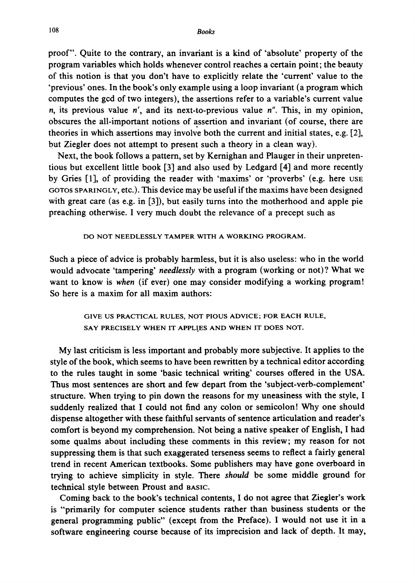proof". Quite to the contrary, an invariant is a kind of 'absolute' property of the program variables which holds whenever control reaches a certain point; the beauty of this notion is that you don't have to explicitly relate the 'current' value to the 'previous' ones. In the book's only example using a loop invariant (a program which computes the gcd of two integers), the assertions refer to a variable's current value n, its previous value n', and its next-to-previous value *n".* This, in my opinion, obscures the all-important notions of assertion and invariant (of course, there are theories in which assertions may involve both the current and initial states, e.g. [2], but Ziegler does not attempt to present such a theory in a clean way).

Next, the book follows a pattern, set by Kernighan and Plauger in their unpretentious but excellent little book [3] and also used by Ledgard [4] and more recently by Gries [1], of providing the reader with 'maxims' or 'proverbs' (e.g. here USE GOTOS SPARINGLY, etc.). This device may be useful if the maxims have been designed with great care (as e.g. in [3]), but easily turns into the motherhood and apple pie preaching otherwise. I very much doubt the relevance of a precept such as

DO NOT NEEDLESSLY TAMPER WITH A WORKING PROGRAM.

Such a piece of advice is probably harmless, but it is also useless: who in the world would advocate 'tampering' *needlessly* with a program (working or not)? What we want to know is *when* (if ever) one may consider modifying a working program! So here is a maxim for all maxim authors:

> GIVE US PRACTICAL RULES, NOT PIOUS ADVICE; FOR EACH RULE, SAY PRECISELY WHEN IT APPLIES AND WHEN IT DOES NOT.

My last criticism is less important and probably more subjective. It applies to the style of the book, which seems to have been rewritten by a technical editor according to the rules taught in some 'basic technical writing' courses offered in the USA. Thus most sentences are short and few depart from the 'subject-verb-complement' structure. When trying to pin down the reasons for my uneasiness with the style, I suddenly realized that I could not find any colon or semicolon! Why one should dispense altogether with these faithful servants of sentence articulation and reader's comfort is beyond my comprehension. Not being a native speaker of English, I had some qualms about including these comments in this review; my reason for not suppressing them is that such exaggerated terseness seems to reflect a fairly general trend in recent American textbooks. Some publishers may have gone overboard in trying to achieve simplicity in style. There *should* be some middle ground for technical style between Proust and BASIC.

Coming back to the book's technical contents, I do not agree that Ziegler's work is "primarily for computer science students rather than business students or the general programming public" (except from the Preface). I would not use it in a software engineering course because of its imprecision and lack of depth. It may,